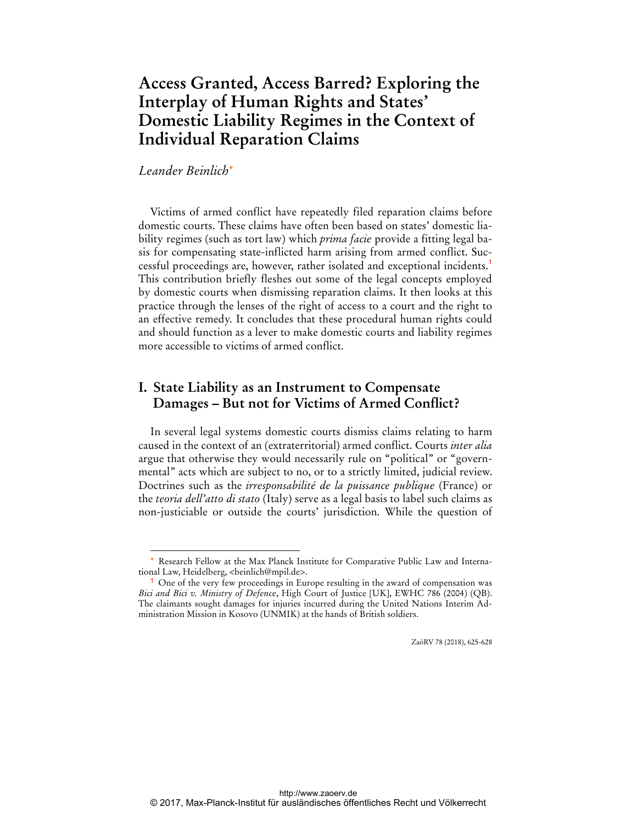# **Access Granted, Access Barred? Exploring the Interplay of Human Rights and States' Domestic Liability Regimes in the Context of Individual Reparation Claims**

#### *Leander Beinlich*\*

 $\overline{a}$ 

Victims of armed conflict have repeatedly filed reparation claims before domestic courts. These claims have often been based on states' domestic liability regimes (such as tort law) which *prima facie* provide a fitting legal basis for compensating state-inflicted harm arising from armed conflict. Successful proceedings are, however, rather isolated and exceptional incidents.<sup>1</sup> This contribution briefly fleshes out some of the legal concepts employed by domestic courts when dismissing reparation claims. It then looks at this practice through the lenses of the right of access to a court and the right to an effective remedy. It concludes that these procedural human rights could and should function as a lever to make domestic courts and liability regimes more accessible to victims of armed conflict.

## **I. State Liability as an Instrument to Compensate Damages – But not for Victims of Armed Conflict?**

In several legal systems domestic courts dismiss claims relating to harm caused in the context of an (extraterritorial) armed conflict. Courts *inter alia*  argue that otherwise they would necessarily rule on "political" or "governmental" acts which are subject to no, or to a strictly limited, judicial review. Doctrines such as the *irresponsabilité de la puissance publique* (France) or the *teoria dell'atto di stato* (Italy) serve as a legal basis to label such claims as non-justiciable or outside the courts' jurisdiction. While the question of

ZaöRV 78 (2018), 625-628

Research Fellow at the Max Planck Institute for Comparative Public Law and International Law, Heidelberg, <beinlich@mpil.de>.

<sup>&</sup>lt;sup>1</sup> One of the very few proceedings in Europe resulting in the award of compensation was *Bici and Bici v. Ministry of Defence*, High Court of Justice [UK], EWHC 786 (2004) (QB). The claimants sought damages for injuries incurred during the United Nations Interim Administration Mission in Kosovo (UNMIK) at the hands of British soldiers.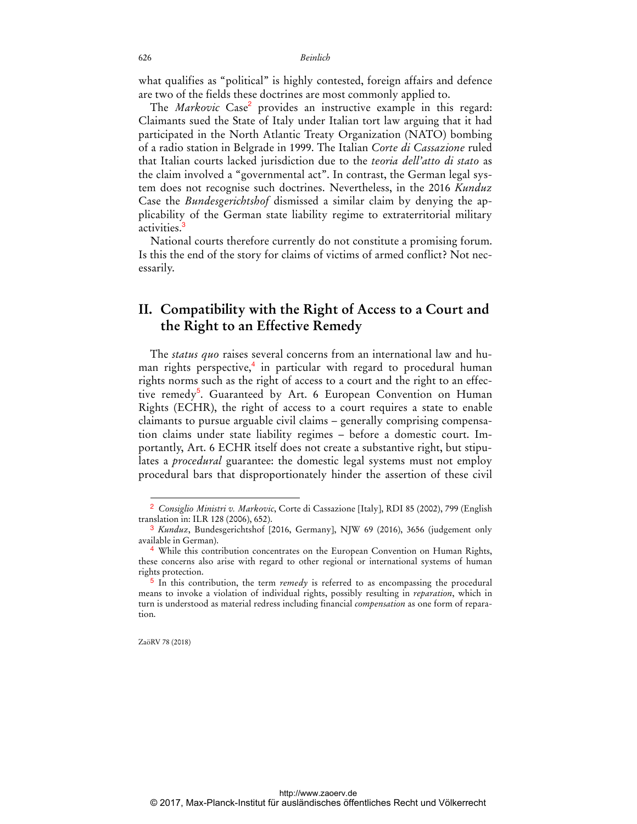what qualifies as "political" is highly contested, foreign affairs and defence are two of the fields these doctrines are most commonly applied to.

The *Markovic* Case<sup>2</sup> provides an instructive example in this regard: Claimants sued the State of Italy under Italian tort law arguing that it had participated in the North Atlantic Treaty Organization (NATO) bombing of a radio station in Belgrade in 1999. The Italian *Corte di Cassazione* ruled that Italian courts lacked jurisdiction due to the *teoria dell'atto di stato* as the claim involved a "governmental act". In contrast, the German legal system does not recognise such doctrines. Nevertheless, in the 2016 *Kunduz*  Case the *Bundesgerichtshof* dismissed a similar claim by denying the applicability of the German state liability regime to extraterritorial military activities.<sup>3</sup>

National courts therefore currently do not constitute a promising forum. Is this the end of the story for claims of victims of armed conflict? Not necessarily.

## **II. Compatibility with the Right of Access to a Court and the Right to an Effective Remedy**

The *status quo* raises several concerns from an international law and human rights perspective,<sup>4</sup> in particular with regard to procedural human rights norms such as the right of access to a court and the right to an effective remedy<sup>5</sup>. Guaranteed by Art. 6 European Convention on Human Rights (ECHR), the right of access to a court requires a state to enable claimants to pursue arguable civil claims – generally comprising compensation claims under state liability regimes – before a domestic court. Importantly, Art. 6 ECHR itself does not create a substantive right, but stipulates a *procedural* guarantee: the domestic legal systems must not employ procedural bars that disproportionately hinder the assertion of these civil

ZaöRV 78 (2018)

 $\overline{a}$ 

<sup>2</sup> *Consiglio Ministri v. Markovic*, Corte di Cassazione [Italy], RDI 85 (2002), 799 (English translation in: ILR 128 (2006), 652).

<sup>3</sup> *Kunduz*, Bundesgerichtshof [2016, Germany], NJW 69 (2016), 3656 (judgement only available in German).

<sup>4</sup> While this contribution concentrates on the European Convention on Human Rights, these concerns also arise with regard to other regional or international systems of human rights protection.

<sup>5</sup> In this contribution, the term *remedy* is referred to as encompassing the procedural means to invoke a violation of individual rights, possibly resulting in *reparation*, which in turn is understood as material redress including financial *compensation* as one form of reparation.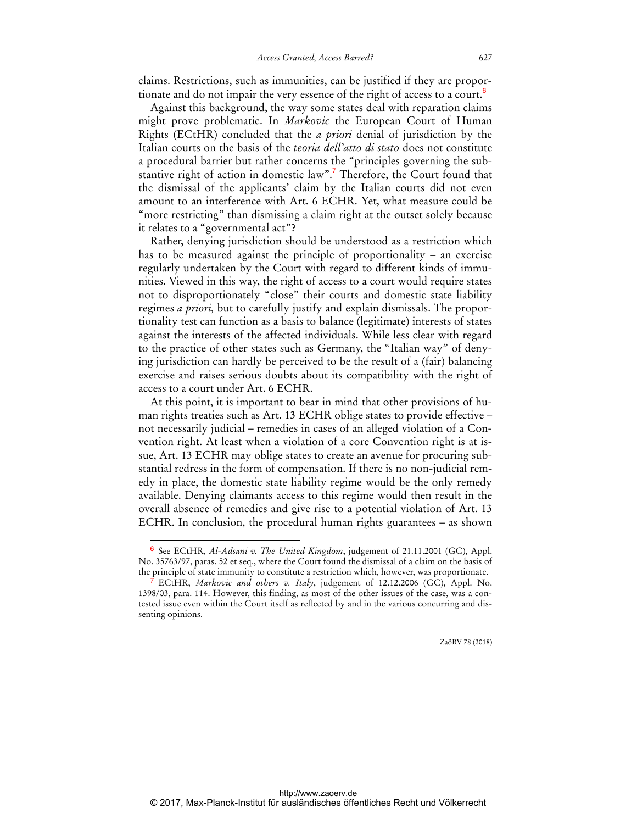claims. Restrictions, such as immunities, can be justified if they are proportionate and do not impair the very essence of the right of access to a court. $^6$ 

Against this background, the way some states deal with reparation claims might prove problematic. In *Markovic* the European Court of Human Rights (ECtHR) concluded that the *a priori* denial of jurisdiction by the Italian courts on the basis of the *teoria dell'atto di stato* does not constitute a procedural barrier but rather concerns the "principles governing the substantive right of action in domestic law".<sup>7</sup> Therefore, the Court found that the dismissal of the applicants' claim by the Italian courts did not even amount to an interference with Art. 6 ECHR. Yet, what measure could be "more restricting" than dismissing a claim right at the outset solely because it relates to a "governmental act"?

Rather, denying jurisdiction should be understood as a restriction which has to be measured against the principle of proportionality – an exercise regularly undertaken by the Court with regard to different kinds of immunities. Viewed in this way, the right of access to a court would require states not to disproportionately "close" their courts and domestic state liability regimes *a priori,* but to carefully justify and explain dismissals. The proportionality test can function as a basis to balance (legitimate) interests of states against the interests of the affected individuals. While less clear with regard to the practice of other states such as Germany, the "Italian way" of denying jurisdiction can hardly be perceived to be the result of a (fair) balancing exercise and raises serious doubts about its compatibility with the right of access to a court under Art. 6 ECHR.

At this point, it is important to bear in mind that other provisions of human rights treaties such as Art. 13 ECHR oblige states to provide effective – not necessarily judicial – remedies in cases of an alleged violation of a Convention right. At least when a violation of a core Convention right is at issue, Art. 13 ECHR may oblige states to create an avenue for procuring substantial redress in the form of compensation. If there is no non-judicial remedy in place, the domestic state liability regime would be the only remedy available. Denying claimants access to this regime would then result in the overall absence of remedies and give rise to a potential violation of Art. 13 ECHR. In conclusion, the procedural human rights guarantees – as shown

 $\overline{a}$ 

ZaöRV 78 (2018)

<sup>6</sup> See ECtHR, *Al-Adsani v. The United Kingdom*, judgement of 21.11.2001 (GC), Appl. No. 35763/97, paras. 52 et seq., where the Court found the dismissal of a claim on the basis of the principle of state immunity to constitute a restriction which, however, was proportionate.

<sup>7</sup> ECtHR, *Markovic and others v. Italy*, judgement of 12.12.2006 (GC), Appl. No. 1398/03, para. 114. However, this finding, as most of the other issues of the case, was a contested issue even within the Court itself as reflected by and in the various concurring and dissenting opinions.